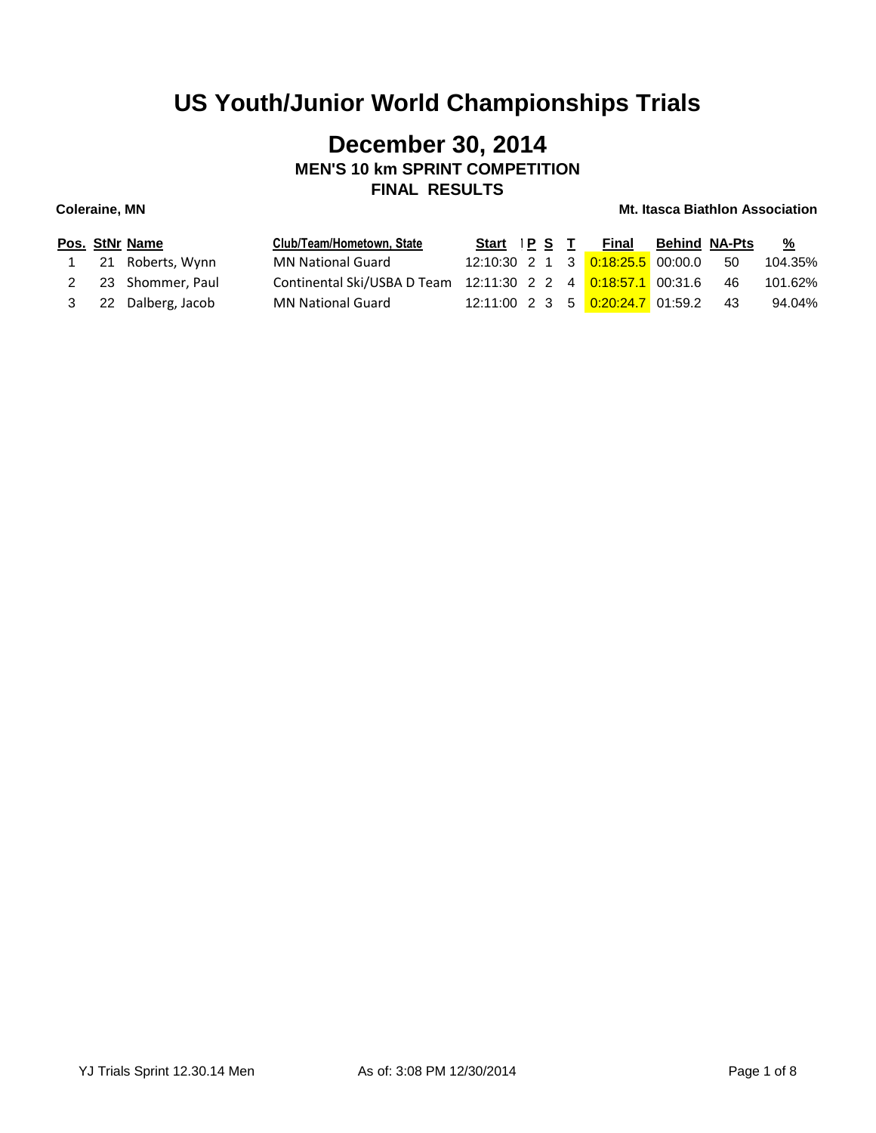## **December 30, 2014 MEN'S 10 km SPRINT COMPETITION FINAL RESULTS**

|  | Pos. StNr Name      | Club/Team/Hometown, State                                    | Start IPS T |  | Final                                                | Behind NA-Pts |      | <u>%</u> |
|--|---------------------|--------------------------------------------------------------|-------------|--|------------------------------------------------------|---------------|------|----------|
|  | 21 Roberts, Wynn    | <b>MN National Guard</b>                                     |             |  | 12:10:30  2  1  3 <mark>0:18:25.5</mark> 00:00.0  50 |               |      | 104.35%  |
|  | 2 23 Shommer, Paul  | Continental Ski/USBA D Team 12:11:30 2 2 4 0:18:57.1 00:31.6 |             |  |                                                      |               | -46  | 101.62%  |
|  | 3 22 Dalberg, Jacob | <b>MN National Guard</b>                                     |             |  | 12:11:00  2  3  5 <mark>0:20:24.7</mark> 01:59.2     |               | - 43 | 94.04%   |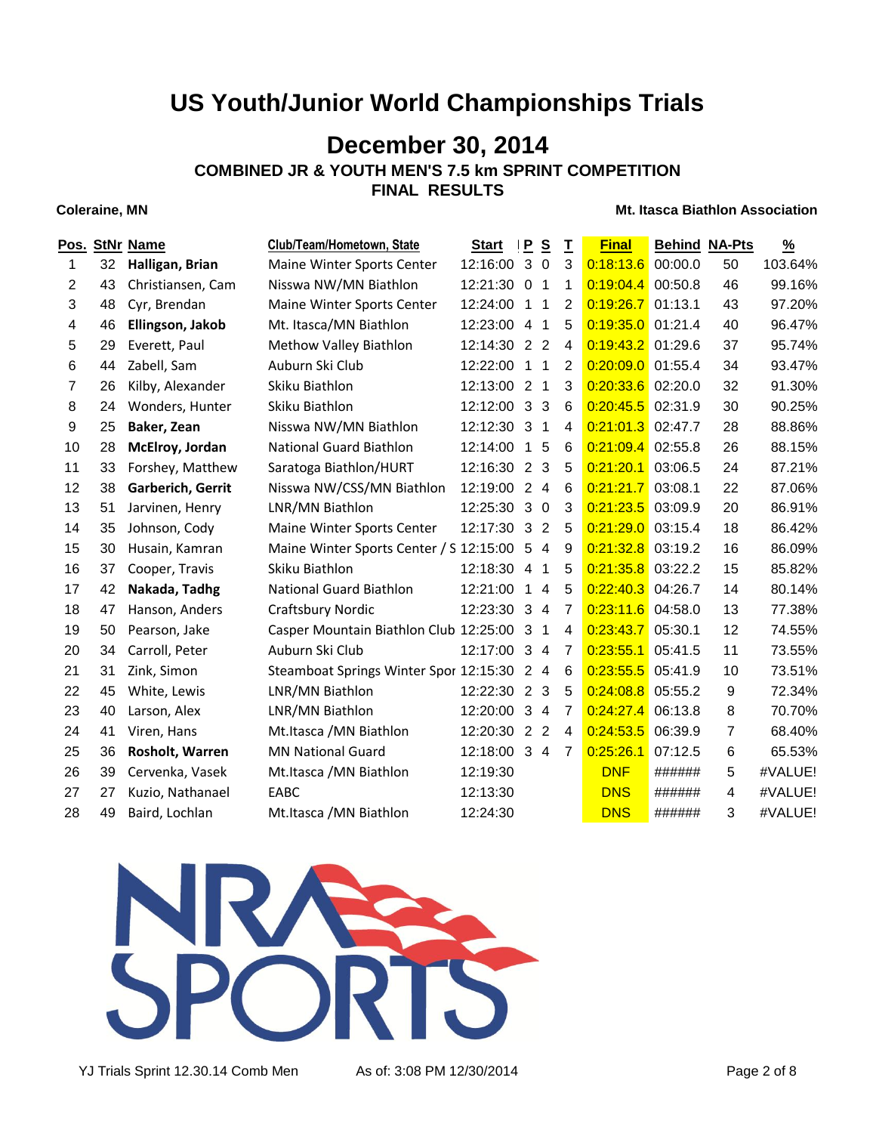## **December 30, 2014**

**COMBINED JR & YOUTH MEN'S 7.5 km SPRINT COMPETITION**

**FINAL RESULTS**

### **Coleraine, MN Mt. Itasca Biathlon Association**

|                |    | Pos. StNr Name    | Club/Team/Hometown, State                  | <b>Start</b> | $\mathbf{P}$   | S              | I              | <b>Final</b>        | <b>Behind NA-Pts</b> |    | $\frac{9}{6}$ |
|----------------|----|-------------------|--------------------------------------------|--------------|----------------|----------------|----------------|---------------------|----------------------|----|---------------|
| 1.             | 32 | Halligan, Brian   | Maine Winter Sports Center                 | 12:16:00 3   |                | $\mathbf 0$    | 3              | 0:18:13.6           | 00:00.0              | 50 | 103.64%       |
| 2              | 43 | Christiansen, Cam | Nisswa NW/MN Biathlon                      | 12:21:30 0 1 |                |                | 1              | 0:19:04.4           | 00:50.8              | 46 | 99.16%        |
| 3              | 48 | Cyr, Brendan      | Maine Winter Sports Center                 | 12:24:00     | $\overline{1}$ | $\overline{1}$ | $\overline{2}$ | 0:19:26.7           | 01:13.1              | 43 | 97.20%        |
| 4              | 46 | Ellingson, Jakob  | Mt. Itasca/MN Biathlon                     | 12:23:00 4 1 |                |                | 5              | 0:19:35.0           | 01:21.4              | 40 | 96.47%        |
| 5              | 29 | Everett, Paul     | Methow Valley Biathlon                     | 12:14:30 2 2 |                |                | 4              | $0:19:43.2$ 01:29.6 |                      | 37 | 95.74%        |
| 6              | 44 | Zabell, Sam       | Auburn Ski Club                            | 12:22:00     | $\mathbf{1}$   | 1              | $\overline{2}$ | 0:20:09.0 01:55.4   |                      | 34 | 93.47%        |
| $\overline{7}$ | 26 | Kilby, Alexander  | Skiku Biathlon                             | 12:13:00 2 1 |                |                | 3              | $0:20:33.6$ 02:20.0 |                      | 32 | 91.30%        |
| 8              | 24 | Wonders, Hunter   | Skiku Biathlon                             | 12:12:00 3 3 |                |                | 6              | 0:20:45.5           | 02:31.9              | 30 | 90.25%        |
| 9              | 25 | Baker, Zean       | Nisswa NW/MN Biathlon                      | 12:12:30 3 1 |                |                | 4              | 0:21:01.3           | 02:47.7              | 28 | 88.86%        |
| 10             | 28 | McElroy, Jordan   | <b>National Guard Biathlon</b>             | 12:14:00     | $\overline{1}$ | 5              | 6              | 0:21:09.4           | 02:55.8              | 26 | 88.15%        |
| 11             | 33 | Forshey, Matthew  | Saratoga Biathlon/HURT                     | 12:16:30 2 3 |                |                | 5              | 0:21:20.1           | 03:06.5              | 24 | 87.21%        |
| 12             | 38 | Garberich, Gerrit | Nisswa NW/CSS/MN Biathlon                  | 12:19:00 2 4 |                |                | 6              | 0:21:21.7           | 03:08.1              | 22 | 87.06%        |
| 13             | 51 | Jarvinen, Henry   | LNR/MN Biathlon                            | 12:25:30 3 0 |                |                | 3              | 0:21:23.5           | 03:09.9              | 20 | 86.91%        |
| 14             | 35 | Johnson, Cody     | Maine Winter Sports Center                 | 12:17:30 3 2 |                |                | 5              | 0:21:29.0           | 03:15.4              | 18 | 86.42%        |
| 15             | 30 | Husain, Kamran    | Maine Winter Sports Center / S 12:15:00 5  |              |                | $\overline{4}$ | 9              | 0:21:32.8           | 03:19.2              | 16 | 86.09%        |
| 16             | 37 | Cooper, Travis    | Skiku Biathlon                             | 12:18:30 4   |                | 1              | 5              | 0:21:35.8           | 03:22.2              | 15 | 85.82%        |
| 17             | 42 | Nakada, Tadhg     | National Guard Biathlon                    | 12:21:00     | $\overline{1}$ | $\overline{4}$ | 5              | 0:22:40.3           | 04:26.7              | 14 | 80.14%        |
| 18             | 47 | Hanson, Anders    | <b>Craftsbury Nordic</b>                   | 12:23:30 3 4 |                |                | $\overline{7}$ | 0:23:11.6           | 04:58.0              | 13 | 77.38%        |
| 19             | 50 | Pearson, Jake     | Casper Mountain Biathlon Club 12:25:00     |              | $\mathbf{3}$   | $\overline{1}$ | 4              | 0:23:43.7           | 05:30.1              | 12 | 74.55%        |
| 20             | 34 | Carroll, Peter    | Auburn Ski Club                            | 12:17:00 3 4 |                |                | $\overline{7}$ | 0:23:55.1           | 05:41.5              | 11 | 73.55%        |
| 21             | 31 | Zink, Simon       | Steamboat Springs Winter Spor 12:15:30 2 4 |              |                |                | 6              | 0:23:55.5           | 05:41.9              | 10 | 73.51%        |
| 22             | 45 | White, Lewis      | LNR/MN Biathlon                            | 12:22:30 2 3 |                |                | 5              | 0:24:08.8           | 05:55.2              | 9  | 72.34%        |
| 23             | 40 | Larson, Alex      | LNR/MN Biathlon                            | 12:20:00 3 4 |                |                | 7              | 0:24:27.4           | 06:13.8              | 8  | 70.70%        |
| 24             | 41 | Viren, Hans       | Mt. Itasca / MN Biathlon                   | 12:20:30 2   |                | $\overline{2}$ | $\overline{4}$ | 0:24:53.5           | 06:39.9              | 7  | 68.40%        |
| 25             | 36 | Rosholt, Warren   | <b>MN National Guard</b>                   | 12:18:00 3 4 |                |                | $\overline{7}$ | 0:25:26.1           | 07:12.5              | 6  | 65.53%        |
| 26             | 39 | Cervenka, Vasek   | Mt.Itasca / MN Biathlon                    | 12:19:30     |                |                |                | <b>DNF</b>          | ######               | 5  | #VALUE!       |
| 27             | 27 | Kuzio, Nathanael  | EABC                                       | 12:13:30     |                |                |                | <b>DNS</b>          | ######               | 4  | #VALUE!       |
| 28             | 49 | Baird, Lochlan    | Mt.Itasca / MN Biathlon                    | 12:24:30     |                |                |                | <b>DNS</b>          | ######               | 3  | #VALUE!       |
|                |    |                   |                                            |              |                |                |                |                     |                      |    |               |



YJ Trials Sprint 12.30.14 Comb Men As of: 3:08 PM 12/30/2014 Page 2 of 8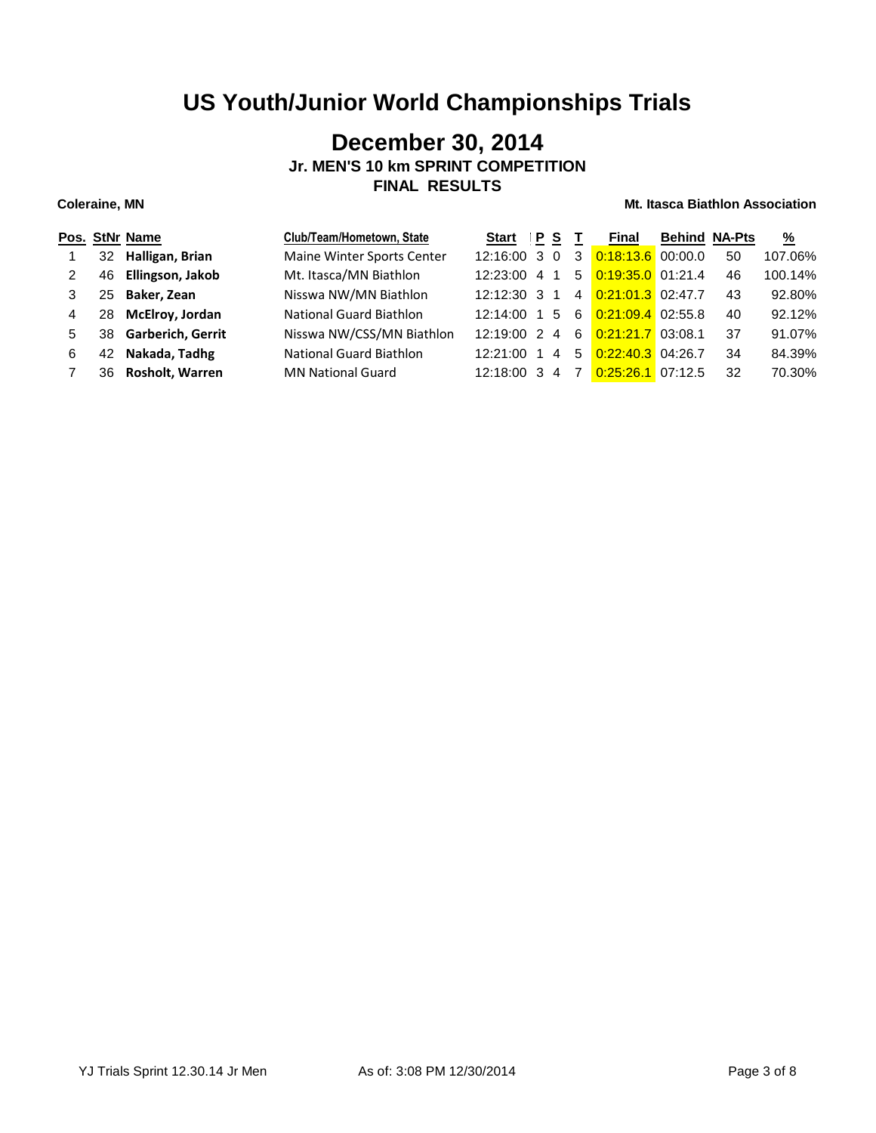## **December 30, 2014 Jr. MEN'S 10 km SPRINT COMPETITION FINAL RESULTS**

|   |    | Pos. StNr Name           | Club/Team/Hometown, State      | Start          | P S |    |                | Final               | <b>Behind NA-Pts</b> |    | $\frac{9}{6}$ |
|---|----|--------------------------|--------------------------------|----------------|-----|----|----------------|---------------------|----------------------|----|---------------|
|   | 32 | Halligan, Brian          | Maine Winter Sports Center     | $12:16:00$ 3 0 |     |    | 3              | $0:18:13.6$ 00:00.0 |                      | 50 | 107.06%       |
| 2 | 46 | Ellingson, Jakob         | Mt. Itasca/MN Biathlon         | $12:23:00$ 4   |     | -1 |                | 5 0:19:35.0 01:21.4 |                      | 46 | 100.14%       |
| 3 | 25 | Baker, Zean              | Nisswa NW/MN Biathlon          | $12:12:30$ 3   |     |    | $\overline{4}$ | 0:21:01.3 02:47.7   |                      | 43 | 92.80%        |
| 4 | 28 | McElroy, Jordan          | <b>National Guard Biathlon</b> | 12:14:00 1     |     | 5  | 6              | $0:21:09.4$ 02:55.8 |                      | 40 | 92.12%        |
| 5 | 38 | <b>Garberich, Gerrit</b> | Nisswa NW/CSS/MN Biathlon      | $12:19:00$ 2 4 |     |    | 6              | $0.21:21.7$ 03:08.1 |                      | 37 | 91.07%        |
| 6 | 42 | Nakada, Tadhg            | National Guard Biathlon        | $12:21:00$ 1   |     | 4  | 5              | $0:22:40.3$ 04:26.7 |                      | 34 | 84.39%        |
|   | 36 | Rosholt, Warren          | <b>MN National Guard</b>       | 12:18:00 3     |     | 4  | 7              | 0:25:26.1           | 07:12.5              | 32 | 70.30%        |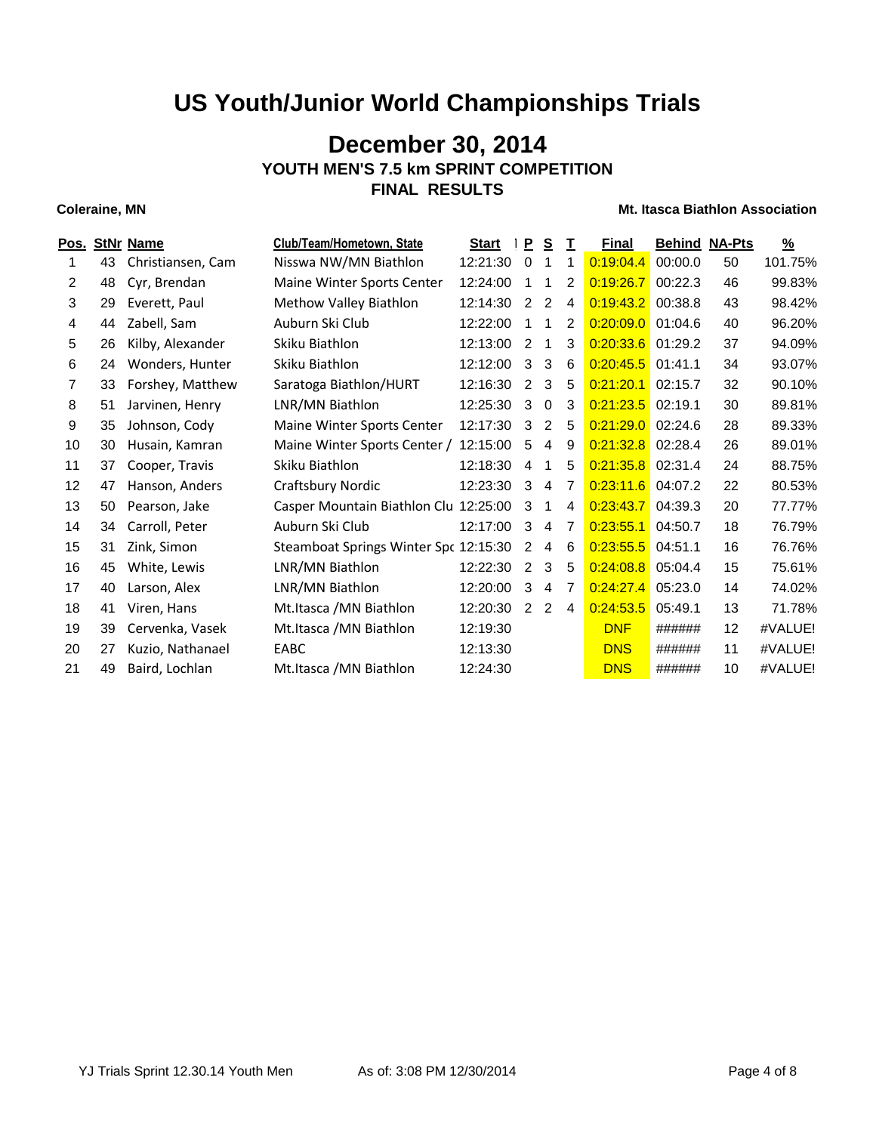## **December 30, 2014 YOUTH MEN'S 7.5 km SPRINT COMPETITION FINAL RESULTS**

| Pos. |    | <b>StNr Name</b>  | Club/Team/Hometown, State             | <b>Start</b> | P           | <u>s</u>       | T, | <b>Final</b>        | <b>Behind NA-Pts</b> |    | $\frac{9}{6}$ |
|------|----|-------------------|---------------------------------------|--------------|-------------|----------------|----|---------------------|----------------------|----|---------------|
|      | 43 | Christiansen, Cam | Nisswa NW/MN Biathlon                 | 12:21:30     | $\mathbf 0$ |                | 1  | 0:19:04.4           | 00:00.0              | 50 | 101.75%       |
| 2    | 48 | Cyr, Brendan      | Maine Winter Sports Center            | 12:24:00     | 1           | 1              | 2  | 0:19:26.7           | 00:22.3              | 46 | 99.83%        |
| 3    | 29 | Everett, Paul     | Methow Valley Biathlon                | 12:14:30     | 2           | 2              | 4  | $0:19:43.2$ 00:38.8 |                      | 43 | 98.42%        |
| 4    | 44 | Zabell, Sam       | Auburn Ski Club                       | 12:22:00     |             | 1              | 2  | 0:20:09.0           | 01:04.6              | 40 | 96.20%        |
| 5    | 26 | Kilby, Alexander  | Skiku Biathlon                        | 12:13:00     | 2           | 1              | 3  | 0:20:33.6           | 01:29.2              | 37 | 94.09%        |
| 6    | 24 | Wonders, Hunter   | Skiku Biathlon                        | 12:12:00     | 3           | 3              | 6  | $0:20:45.5$ 01:41.1 |                      | 34 | 93.07%        |
| 7    | 33 | Forshey, Matthew  | Saratoga Biathlon/HURT                | 12:16:30     | 2           | 3              | 5  | 0:21:20.1           | 02:15.7              | 32 | 90.10%        |
| 8    | 51 | Jarvinen, Henry   | LNR/MN Biathlon                       | 12:25:30     | 3           | $\mathbf 0$    | 3  | 0:21:23.5           | 02:19.1              | 30 | 89.81%        |
| 9    | 35 | Johnson, Cody     | Maine Winter Sports Center            | 12:17:30     | 3           | 2              | 5  | $0.21:29.0$ 02:24.6 |                      | 28 | 89.33%        |
| 10   | 30 | Husain, Kamran    | Maine Winter Sports Center /          | 12:15:00     | 5           | 4              | 9  | 0:21:32.8 02:28.4   |                      | 26 | 89.01%        |
| 11   | 37 | Cooper, Travis    | Skiku Biathlon                        | 12:18:30     | 4           | 1              | 5  | $0:21:35.8$ 02:31.4 |                      | 24 | 88.75%        |
| 12   | 47 | Hanson, Anders    | Craftsbury Nordic                     | 12:23:30     | 3           | $\overline{4}$ | 7  | 0:23:11.6           | 04:07.2              | 22 | 80.53%        |
| 13   | 50 | Pearson, Jake     | Casper Mountain Biathlon Clu 12:25:00 |              | 3           | 1              | 4  | 0:23:43.7           | 04:39.3              | 20 | 77.77%        |
| 14   | 34 | Carroll, Peter    | Auburn Ski Club                       | 12:17:00     | 3           | 4              | 7  | 0:23:55.1           | 04:50.7              | 18 | 76.79%        |
| 15   | 31 | Zink, Simon       | Steamboat Springs Winter Spc 12:15:30 |              | 2           | 4              | 6  | 0:23:55.5           | 04:51.1              | 16 | 76.76%        |
| 16   | 45 | White, Lewis      | LNR/MN Biathlon                       | 12:22:30     | 2           | 3              | -5 | 0:24:08.8           | 05:04.4              | 15 | 75.61%        |
| 17   | 40 | Larson, Alex      | LNR/MN Biathlon                       | 12:20:00     | 3           | 4              | 7  | $0:24:27.4$ 05:23.0 |                      | 14 | 74.02%        |
| 18   | 41 | Viren, Hans       | Mt.Itasca / MN Biathlon               | 12:20:30     | 2           | 2              | 4  | 0:24:53.5           | 05:49.1              | 13 | 71.78%        |
| 19   | 39 | Cervenka, Vasek   | Mt.Itasca / MN Biathlon               | 12:19:30     |             |                |    | <b>DNF</b>          | ######               | 12 | #VALUE!       |
| 20   | 27 | Kuzio, Nathanael  | EABC                                  | 12:13:30     |             |                |    | <b>DNS</b>          | ######               | 11 | #VALUE!       |
| 21   | 49 | Baird, Lochlan    | Mt.Itasca /MN Biathlon                | 12:24:30     |             |                |    | <b>DNS</b>          | ######               | 10 | #VALUE!       |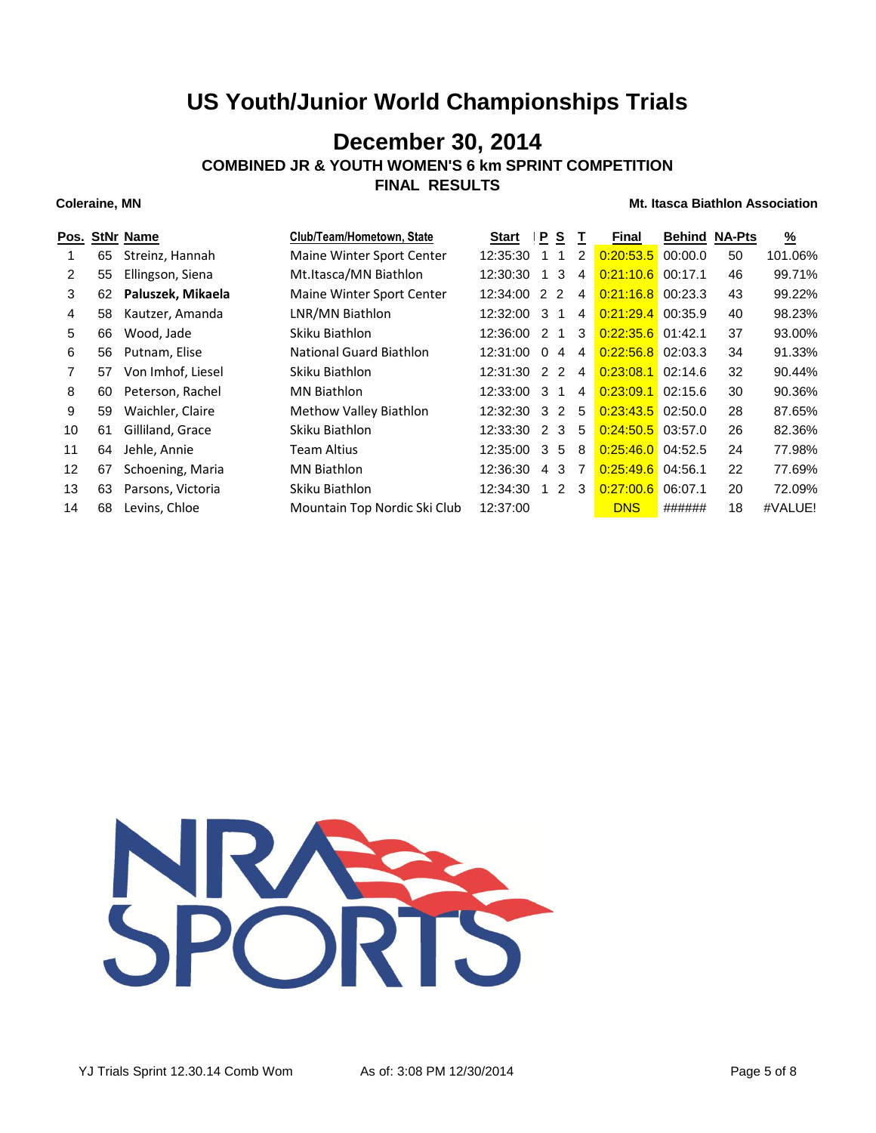## **December 30, 2014**

**COMBINED JR & YOUTH WOMEN'S 6 km SPRINT COMPETITION**

**FINAL RESULTS**

| Pos.              |    | <b>StNr Name</b>  | Club/Team/Hometown, State      | Start          | IP.            | S              |                | Final               | <b>Behind</b> | <b>NA-Pts</b> | $\frac{9}{6}$ |
|-------------------|----|-------------------|--------------------------------|----------------|----------------|----------------|----------------|---------------------|---------------|---------------|---------------|
|                   | 65 | Streinz, Hannah   | Maine Winter Sport Center      | 12:35:30       |                | -1             | 2              | 0:20:53.5           | 00:00.0       | 50            | 101.06%       |
| 2                 | 55 | Ellingson, Siena  | Mt.Itasca/MN Biathlon          | 12:30:30       |                | 3              | 4              | 0:21:10.6           | 00:17.1       | 46            | 99.71%        |
| 3                 | 62 | Paluszek, Mikaela | Maine Winter Sport Center      | $12:34:00$ 2 2 |                |                | $\overline{4}$ | $0:21:16.8$ 00:23.3 |               | 43            | 99.22%        |
| 4                 | 58 | Kautzer, Amanda   | LNR/MN Biathlon                | 12:32:00       | -3             |                | 4              | 0:21:29.4           | 00:35.9       | 40            | 98.23%        |
| 5                 | 66 | Wood, Jade        | Skiku Biathlon                 | 12:36:00 2     |                | $\overline{1}$ | -3             | $0:22:35.6$ 01:42.1 |               | 37            | 93.00%        |
| 6                 | 56 | Putnam, Elise     | <b>National Guard Biathlon</b> | 12:31:00       | $\Omega$       | 4              | 4              | $0:22:56.8$ 02:03.3 |               | 34            | 91.33%        |
| 7                 | 57 | Von Imhof, Liesel | Skiku Biathlon                 | 12:31:30 2 2   |                |                | 4              | $0:23:08.1$ 02:14.6 |               | 32            | 90.44%        |
| 8                 | 60 | Peterson, Rachel  | <b>MN Biathlon</b>             | 12:33:00       | -3             |                | 4              | 0:23:09.1           | 02:15.6       | 30            | 90.36%        |
| 9                 | 59 | Waichler, Claire  | Methow Valley Biathlon         | 12:32:30 3 2   |                |                | - 5            | $0:23:43.5$ 02:50.0 |               | 28            | 87.65%        |
| 10                | 61 | Gilliland, Grace  | Skiku Biathlon                 | 12:33:30       | $\overline{2}$ | 3              | 5              | $0:24:50.5$ 03:57.0 |               | 26            | 82.36%        |
| 11                | 64 | Jehle, Annie      | Team Altius                    | 12:35:00 3 5   |                |                | -8             | $0:25:46.0$ 04:52.5 |               | 24            | 77.98%        |
| $12 \overline{ }$ | 67 | Schoening, Maria  | <b>MN Biathlon</b>             | 12:36:30       | 4              | 3              | $\overline{7}$ | $0:25:49.6$ 04:56.1 |               | 22            | 77.69%        |
| 13                | 63 | Parsons, Victoria | Skiku Biathlon                 | 12:34:30       |                | 2              | -3             | 0:27:00.6           | 06:07.1       | 20            | 72.09%        |
| 14                | 68 | Levins, Chloe     | Mountain Top Nordic Ski Club   | 12:37:00       |                |                |                | <b>DNS</b>          | ######        | 18            | #VALUE!       |

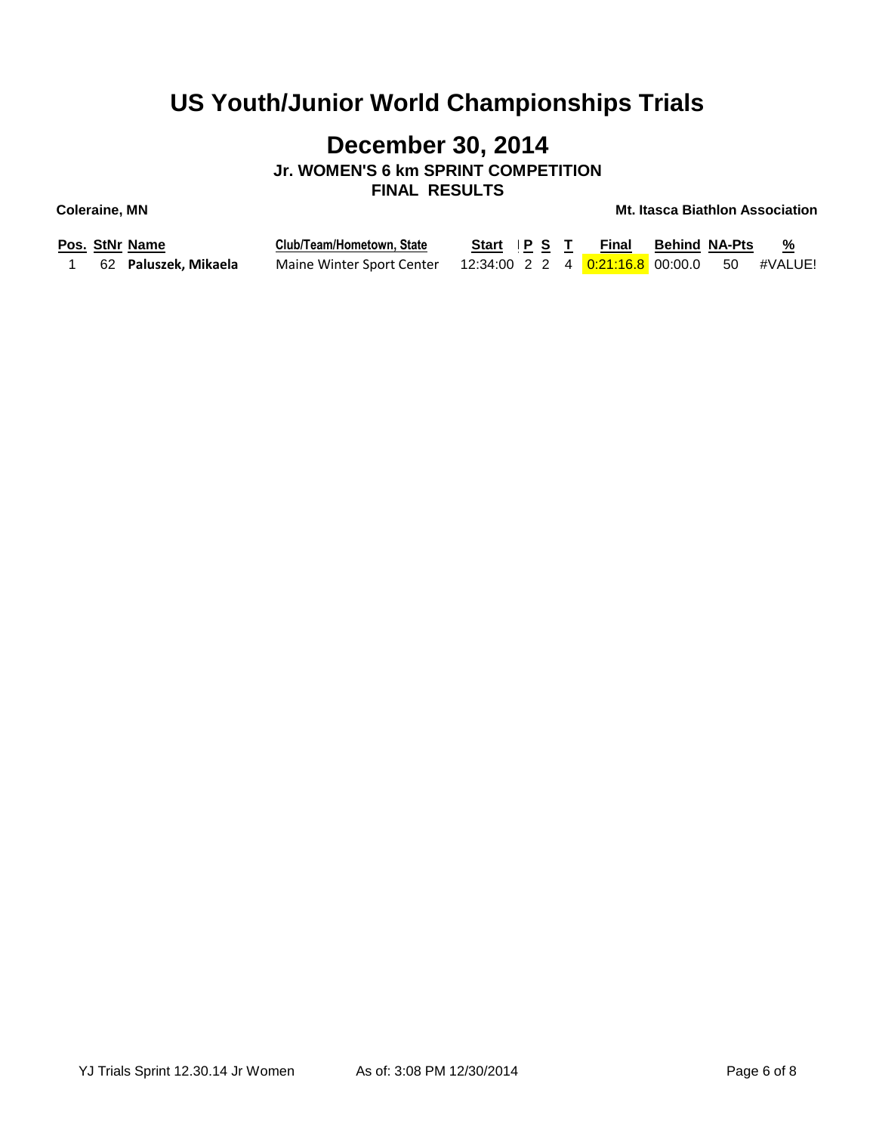# **December 30, 2014**

**Jr. WOMEN'S 6 km SPRINT COMPETITION FINAL RESULTS**

| Pos. StNr Name       | Club/Team/Hometown, State                                             | Start P S T Final Behind NA-Pts % |  |  |  |
|----------------------|-----------------------------------------------------------------------|-----------------------------------|--|--|--|
| 62 Paluszek, Mikaela | Maine Winter Sport Center 12:34:00 2 2 4 0:21:16.8 00:00.0 50 #VALUE! |                                   |  |  |  |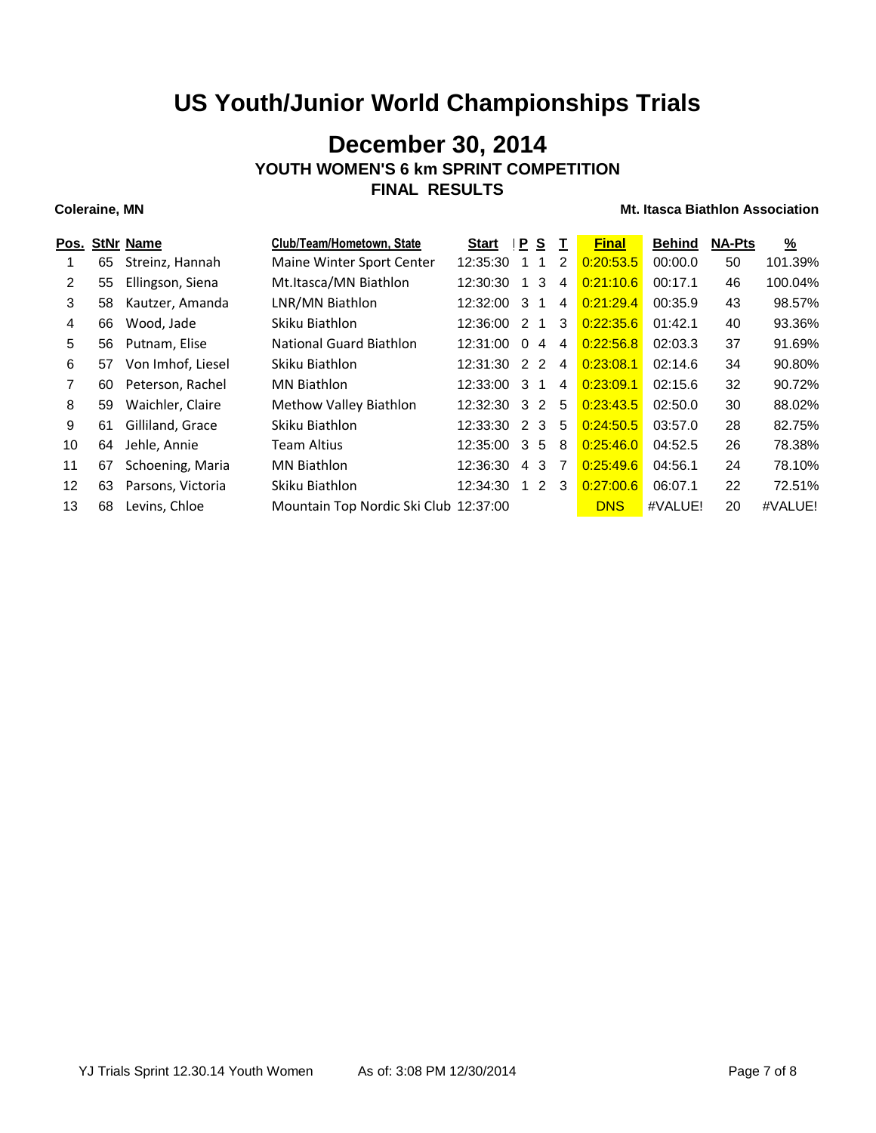## **December 30, 2014 YOUTH WOMEN'S 6 km SPRINT COMPETITION FINAL RESULTS**

### **Coleraine, MN Coleraine, MN Mt. Itasca Biathlon Association**

| Pos.                  |    | <b>StNr Name</b>  | Club/Team/Hometown, State             | <b>Start</b>   | P        | <u>s</u> | $\mathbf{I}$   | <b>Final</b> | <b>Behind</b> | <b>NA-Pts</b> | <u>%</u> |
|-----------------------|----|-------------------|---------------------------------------|----------------|----------|----------|----------------|--------------|---------------|---------------|----------|
|                       | 65 | Streinz, Hannah   | Maine Winter Sport Center             | 12:35:30       |          |          | 2              | 0:20:53.5    | 00:00.0       | 50            | 101.39%  |
| $\mathbf{2}^{\prime}$ | 55 | Ellingson, Siena  | Mt.Itasca/MN Biathlon                 | 12:30:30       |          | 3        | 4              | 0:21:10.6    | 00:17.1       | 46            | 100.04%  |
| 3                     | 58 | Kautzer, Amanda   | LNR/MN Biathlon                       | 12:32:00       | -3       |          | 4              | 0:21:29.4    | 00:35.9       | 43            | 98.57%   |
| 4                     | 66 | Wood, Jade        | Skiku Biathlon                        | 12:36:00 2     |          | 1        | 3              | 0:22:35.6    | 01:42.1       | 40            | 93.36%   |
| 5                     | 56 | Putnam. Elise     | <b>National Guard Biathlon</b>        | 12:31:00       | $\Omega$ | 4        | 4              | 0:22:56.8    | 02:03.3       | 37            | 91.69%   |
| 6                     | 57 | Von Imhof, Liesel | Skiku Biathlon                        | 12:31:30 2 2   |          |          | 4              | 0:23:08.1    | 02:14.6       | 34            | 90.80%   |
| 7                     | 60 | Peterson, Rachel  | <b>MN Biathlon</b>                    | 12:33:00       | 3        | 1        | 4              | 0:23:09.1    | 02:15.6       | 32            | 90.72%   |
| 8                     | 59 | Waichler, Claire  | Methow Valley Biathlon                | 12:32:30 3 2 5 |          |          |                | 0:23:43.5    | 02:50.0       | 30            | 88.02%   |
| 9                     | 61 | Gilliland, Grace  | Skiku Biathlon                        | 12:33:30 2     |          | 3        | -5             | 0:24:50.5    | 03:57.0       | 28            | 82.75%   |
| 10                    | 64 | Jehle, Annie      | Team Altius                           | 12:35:00       | 3        | 5        | -8             | 0:25:46.0    | 04:52.5       | 26            | 78.38%   |
| 11                    | 67 | Schoening, Maria  | <b>MN Biathlon</b>                    | 12:36:30       | 4        | 3        | $\overline{7}$ | 0:25:49.6    | 04:56.1       | 24            | 78.10%   |
| 12                    | 63 | Parsons, Victoria | Skiku Biathlon                        | 12:34:30       |          | 2 3      |                | 0:27:00.6    | 06:07.1       | 22            | 72.51%   |
| 13                    | 68 | Levins, Chloe     | Mountain Top Nordic Ski Club 12:37:00 |                |          |          |                | <b>DNS</b>   | #VALUE!       | 20            | #VALUE!  |